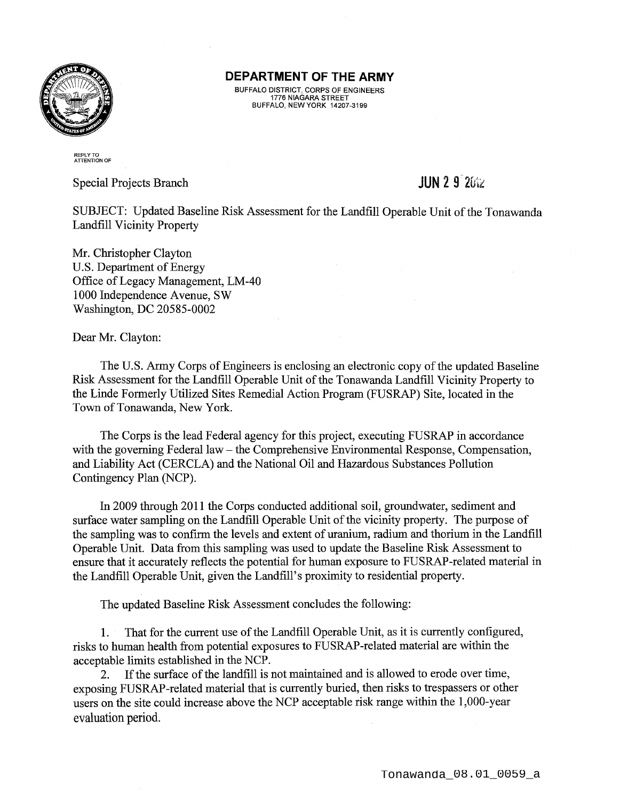

BUFFALO DISTRICT, CORPS OF ENGINEERS 1776 NIAGARA STREET BUFFALO, NEW YORK 14207-3199

REPLY TO<br>ATTENTION OF

Special Projects Branch

## **JUN 2 9 2** $\frac{1}{2}$

SUBJECT: Updated Baseline Risk Assessment for the Landfill Operable Unit of the Tonawanda Landfill Vicinity Property

Mr. Christopher Clayton U.S. Department of Energy Office of Legacy Management, LM -40 1000 Independence Avenue, SW Washington, DC 20585-0002

Dear Mr. Clayton:

The U.S. Army Corps of Engineers is enclosing an electronic copy of the updated Baseline Risk Assessment for the Landfill Operable Unit of the Tonawanda Landfill Vicinity Property to the Linde Formerly Utilized Sites Remedial Action Program (FUSRAP) Site, located in the Town of Tonawanda, New York.

The Corps is the lead Federal agency for this project, executing FUSRAP in accordance with the governing Federal law – the Comprehensive Environmental Response, Compensation, and Liability Act (CERCLA) and the National Oil and Hazardous Substances Pollution Contingency Plan (NCP).

In 2009 through 2011 the Corps conducted additional soil, groundwater, sediment and surface water sampling on the Landfill Operable Unit of the vicinity property. The purpose of the sampling was to confirm the levels and extent of uranium, radium and thorium in the Landfill Operable Unit. Data from this sampling was used to update the Baseline Risk Assessment to ensure that it accurately reflects the potential for human exposure to FUSRAP-related material in the Landfill Operable Unit, given the Landfill's proximity to residential property.

The updated Baseline Risk Assessment concludes the following:

1. That for the current use of the Landfill Operable Unit, as it is currently configured, risks to human health from potential exposures to FUSRAP-related material are within the acceptable limits established in the NCP.

2. If the surface of the landfill is not maintained and is allowed to erode over time, exposing FUSRAP-related material that is currently buried, then risks to trespassers or other users on the site could increase above the NCP acceptable risk range within the **1** ,000-year evaluation period.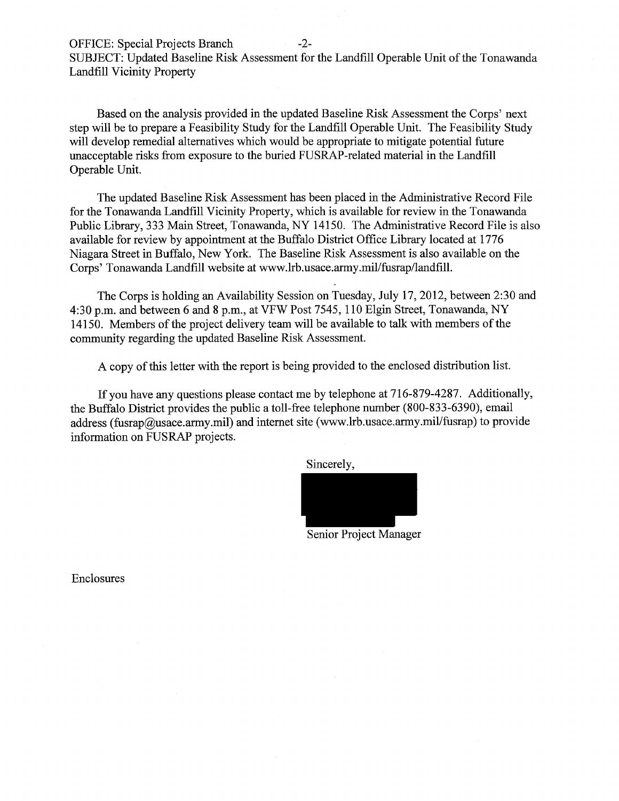OFFICE: Special Projects Branch -2-

SUBJECT: Updated Baseline Risk Assessment for the Landfill Operable Unit of the Tonawanda Landfill Vicinity Property

Based on the analysis provided in the updated Baseline Risk Assessment the Corps' next step will be to prepare a Feasibility Study for the Landfill Operable Unit. The Feasibility Study will develop remedial alternatives which would be appropriate to mitigate potential future unacceptable risks from exposure to the buried FUSRAP-related material in the Landfill Operable Unit.

The updated Baseline Risk Assessment has been placed in the Administrative Record File for the Tonawanda Landfill Vicinity Property, which is available for review in the Tonawanda Public Library, 333 Main Street, Tonawanda, NY 14150. The Administrative Record File is also available for review by appointment at the Buffalo District Office Library located at 1776 Niagara Street in Buffalo, New York. The Baseline Risk Assessment is also available on the Corps' Tonawanda Landfill website at www.lrb.usace.army.mil/fusrap/landfill.

The Corps is holding an Availability Session on Tuesday, July 17, 2012, between 2:30 and 4:30 p.m. and between 6 and 8 p.m., at VFW Post 7545, 110 Elgin Street, Tonawanda, NY 14150. Members of the project delivery team will be available to talk with members of the community regarding the updated Baseline Risk Assessment.

A copy ofthis letter with the report is being provided to the enclosed distribution list.

If you have any questions please contact me by telephone at 716-879-4287. Additionally, the Buffalo District provides the public a toll-free telephone number (800-833-6390), email address (fusrap@usace.army.mil) and internet site (www.lrb.usace.army.mil/fusrap) to provide information on FUSRAP projects.

Sincerely,



Senior Project Manager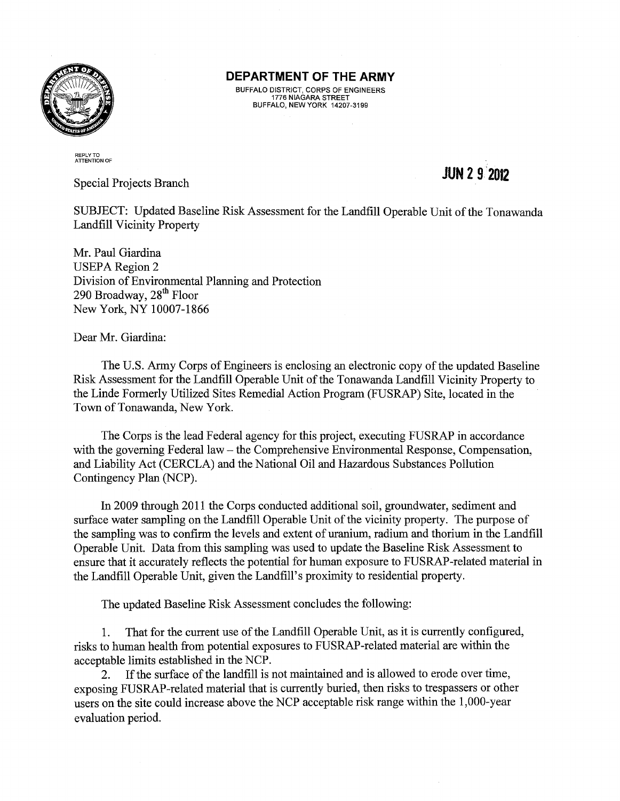

BUFFALO DISTRICT, CORPS OF ENGINEERS 1776 NIAGARA STREET BUFFALO, NEW YORK 14207-3199

### REPLY TO<br>ATTENTION OF

Special Projects Branch

# **JUN 2 9'2012**

SUBJECT: Updated Baseline Risk Assessment for the Landfill Operable Unit of the Tonawanda Landfill Vicinity Property

Mr. Paul Giardina **USEPA Region 2** Division of Environmental Planning and Protection 290 Broadway, 28<sup>th</sup> Floor New York, NY 10007-1866

Dear Mr. Giardina:

The U.S. Army Corps of Engineers is enclosing an electronic copy of the updated Baseline Risk Assessment for the Landfill Operable Unit of the Tonawanda Landfill Vicinity Property to the Linde Formerly Utilized Sites Remedial Action Program (FUSRAP) Site, located in the Town of Tonawanda, New York.

The Corps is the lead Federal agency for this project, executing FUSRAP in accordance with the governing Federal law – the Comprehensive Environmental Response, Compensation, and Liability Act (CERCLA) and the National Oil and Hazardous Substances Pollution Contingency Plan (NCP).

In 2009 through 2011 the Corps conducted additional soil, groundwater, sediment and surface water sampling on the Landfill Operable Unit of the vicinity property. The purpose of the sampling was to confirm the levels and extent of uranium, radium and thorium in the Landfill Operable Unit. Data from this sampling was used to update the Baseline Risk Assessment to ensure that it accurately reflects the potential for human exposure to FUSRAP-related material in the Landfill Operable Unit, given the Landfill's proximity to residential property.

The updated Baseline Risk Assessment concludes the following:

1. That for the current use of the Landfill Operable Unit, as it is currently configured, risks to human health from potential exposures to FUSRAP-related material are within the acceptable limits established in the NCP.

2. If the surface of the landfill is not maintained and is allowed to erode over time, exposing FUSRAP-related material that is currently buried, then risks to trespassers or other users on the site could increase above the NCP acceptable risk range within the 1,000-year evaluation period.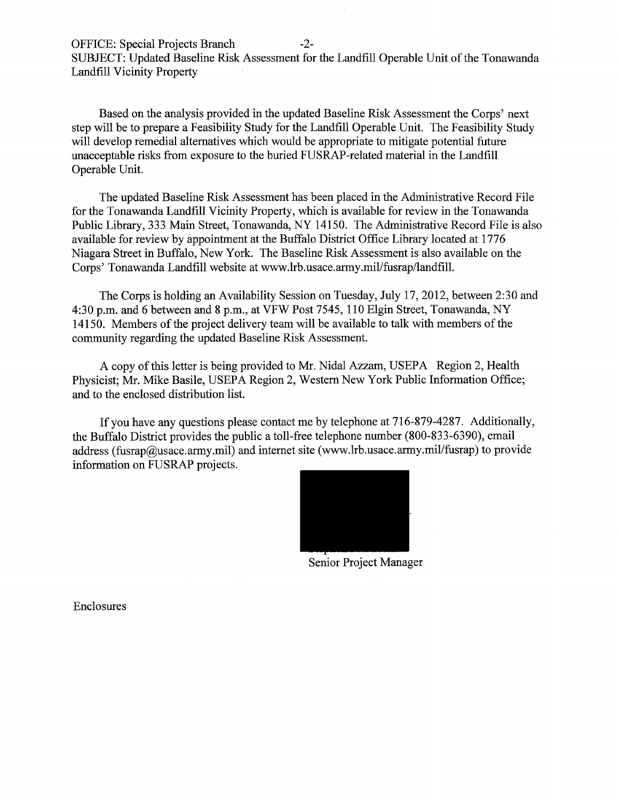Based on the analysis provided in the updated Baseline Risk Assessment the Corps' next step will be to prepare a Feasibility Study for the Landfill Operable Unit. The Feasibility Study will develop remedial alternatives which would be appropriate to mitigate potential future unacceptable risks from exposure to the buried FUSRAP-related material in the Landfill Operable Unit.

The updated Baseline Risk Assessment has been placed in the Administrative Record File for the Tonawanda Landfill Vicinity Property, which is available for review in the Tonawanda Public Library, 333 Main Street, Tonawanda, NY 14150. The Administrative Record File is also available for review by appointment at the Buffalo District Office Library located at 1776 Niagara Street in Buffalo, New York. The Baseline Risk Assessment is also available on the Corps' Tonawanda Landfill website at www.lrb.usace.army.mil/fusrap/landfill.

The Corps is holding an Availability Session on Tuesday, July 17, 2012, between 2:30 and 4:30 p.m. and 6 between and 8 p.m., at VFW Post 7545, 110 Elgin Street, Tonawanda, NY 14150. Members of the project delivery team will be available to talk with members of the community regarding the updated Baseline Risk Assessment.

A copy of this letter is being provided to Mr. Nidal Azzam, USEPA Region 2, Health Physicist; Mr. Mike Basile, USEPA Region 2, Western New York Public Information Office; and to the enclosed distribution list.

If you have any questions please contact me by telephone at 716-879-4287. Additionally, the Buffalo District provides the public a toll-free telephone number (800-833-6390), email address (fusrap@usace.army.mil) and internet site (www.lrb.usace.army.mil/fusrap) to provide information on FUSRAP projects.



Senior Project Manager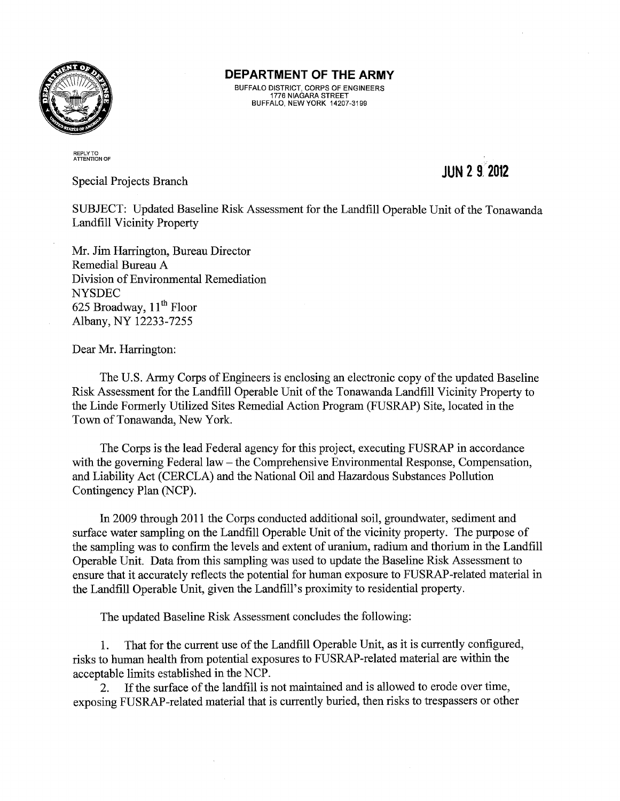

BUFFALO DISTRICT, CORPS OF ENGINEERS 1776 NIAGARA STREET BUFFALO, NEW YORK 14207-3199

#### REPLY TO ATTENTION OF

Special Projects Branch

# **JUN 2 9.2012**

SUBJECT: Updated Baseline Risk Assessment for the Landfill Operable Unit of the Tonawanda Landfill Vicinity Property

Mr. Jim Harrington, Bureau Director Remedial Bureau A Division of Environmental Remediation NYSDEC 625 Broadway,  $11^{th}$  Floor Albany, NY 12233-7255

Dear Mr. Harrington:

The U.S. Army Corps of Engineers is enclosing an electronic copy of the updated Baseline Risk Assessment for the Landfill Operable Unit of the Tonawanda Landfill Vicinity Property to the Linde Formerly Utilized Sites Remedial Action Program (FUSRAP) Site, located in the Town of Tonawanda, New York.

The Corps is the lead Federal agency for this project, executing FUSRAP in accordance with the governing Federal law – the Comprehensive Environmental Response, Compensation, and Liability Act (CERCLA) and the National Oil and Hazardous Substances Pollution Contingency Plan (NCP).

In 2009 through 2011 the Corps conducted additional soil, groundwater, sediment and surface water sampling on the Landfill Operable Unit of the vicinity property. The purpose of the sampling was to confirm the levels and extent of uranium, radium and thorium in the Landfill Operable Unit. Data from this sampling was used to update the Baseline Risk Assessment to ensure that it accurately reflects the potential for human exposure to FUSRAP-related material in the Landfill Operable Unit, given the Landfill's proximity to residential property.

The updated Baseline Risk Assessment concludes the following:

1. That for the current use of the Landfill Operable Unit, as it is currently configured, risks to human health from potential exposures to FUSRAP-related material are within the acceptable limits established in the NCP.

2. If the surface of the landfill is not maintained and is allowed to erode over time, exposing FUSRAP-related material that is currently buried, then risks to trespassers or other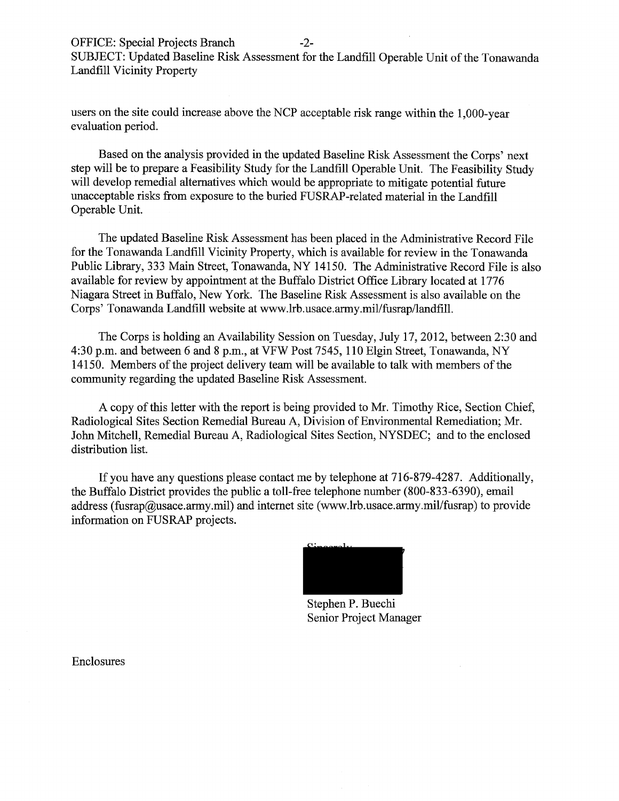users on the site could increase above the NCP acceptable risk range within the 1,000-year evaluation period.

Based on the analysis provided in the updated Baseline Risk Assessment the Corps' next step will be to prepare a Feasibility Study for the Landfill Operable Unit. The Feasibility Study will develop remedial alternatives which would be appropriate to mitigate potential future unacceptable risks from exposure to the buried FUSRAP-related material in the Landfill Operable Unit.

The updated Baseline Risk Assessment has been placed in the Administrative Record File for the Tonawanda Landfill Vicinity Property, which is available for review in the Tonawanda Public Library, 333 Main Street, Tonawanda, NY 14150. The Administrative Record File is also available for review by appointment at the Buffalo District Office Library located at 1776 Niagara Street in Buffalo, New York. The Baseline Risk Assessment is also available on the Corps' Tonawanda Landfill website at www.lrb.usace.army.mil/fusrap/landfill.

The Corps is holding an Availability Session on Tuesday, July 17, 2012, between 2:30 and 4:30 p.m. and between 6 and 8 p.m., at VFW Post 7545, 110 Elgin Street, Tonawanda, NY 14150. Members of the project delivery team will be available to talk with members of the community regarding the updated Baseline Risk Assessment.

A copy of this letter with the report is being provided to Mr. Timothy Rice, Section Chief, Radiological Sites Section Remedial Bureau A, Division of Environmental Remediation; Mr. John Mitchell, Remedial Bureau A, Radiological Sites Section, NYSDEC; and to the enclosed distribution list.

If you have any questions please contact me by telephone at 716-879-4287. Additionally, the Buffalo District provides the public a toll-free telephone number (800-833-6390), email address (fusrap@usace.army.mil) and internet site (www.lrb.usace.army.mil/fusrap) to provide information on FUSRAP projects.



Stephen P. Buechi Senior Project Manager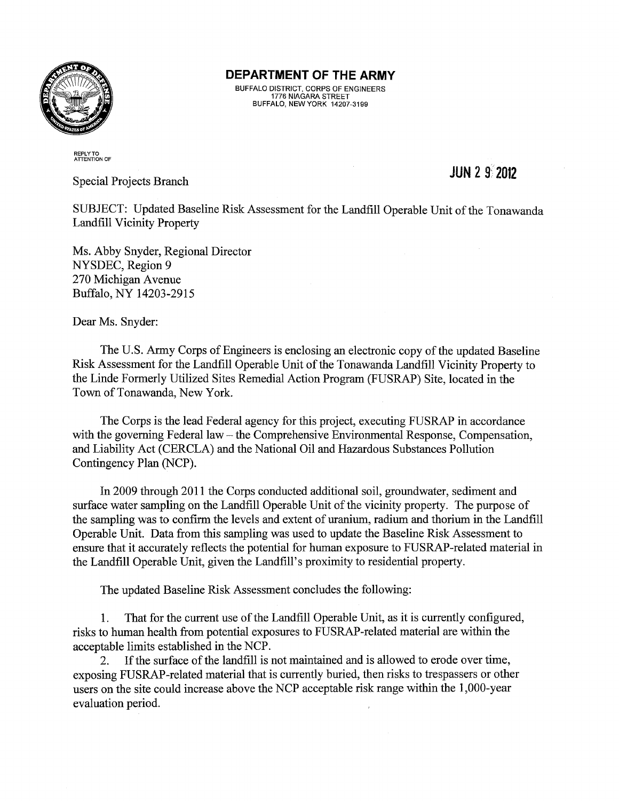

BUFFALO DISTRICT, CORPS OF ENGINEERS 1776 NIAGARA STREET BUFFALO, NEW YORK 14207-3199

### REPLY TO ATTENTION OF

Special Projects Branch

## **JUN** 2 9· **<sup>2012</sup>**

SUBJECT: Updated Baseline Risk Assessment for the Landfill Operable Unit of the Tonawanda Landfill Vicinity Property

Ms. Abby Snyder, Regional Director NYSDEC, Region 9 270 Michigan Avenue Buffalo, NY 14203-2915

Dear Ms. Snyder:

The U.S. Army Corps of Engineers is enclosing an electronic copy of the updated Baseline Risk Assessment for the Landfill Operable Unit of the Tonawanda Landfill Vicinity Property to the Linde Formerly Utilized Sites Remedial Action Program (FUSRAP) Site, located in the Town of Tonawanda, New York.

The Corps is the lead Federal agency for this project, executing FUSRAP in accordance with the governing Federal law – the Comprehensive Environmental Response, Compensation, and Liability Act (CERCLA) and the National Oil and Hazardous Substances Pollution Contingency Plan (NCP).

In 2009 through 2011 the Corps conducted additional soil, groundwater, sediment and surface water sampling on the Landfill Operable Unit of the vicinity property. The purpose of the sampling was to confirm the levels and extent of uranium, radium and thorium in the Landfill Operable Unit. Data from this sampling was used to update the Baseline Risk Assessment to ensure that it accurately reflects the potential for human exposure to FUSRAP-related material in the Landfill Operable Unit, given the Landfill's proximity to residential property.

The updated Baseline Risk Assessment concludes the following:

1. That for the current use of the Landfill Operable Unit, as it is currently configured, risks to human health from potential exposures to FUSRAP-related material are within the acceptable limits established in the NCP.

2. If the surface of the landfill is not maintained and is allowed to erode over time, exposing FUSRAP-related material that is currently buried, then risks to trespassers or other users on the site could increase above the NCP acceptable risk range within the 1 ,000-year evaluation period.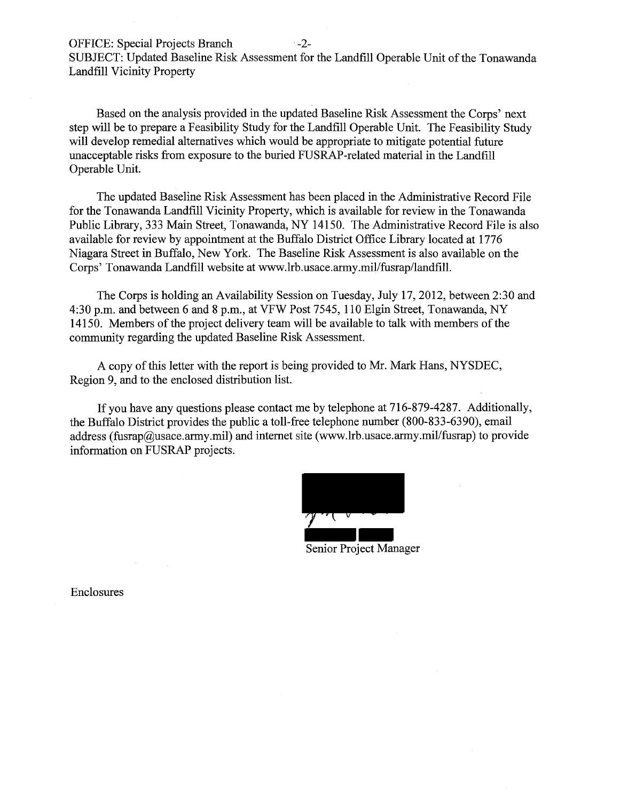OFFICE: Special Projects Branch -2-

SUBJECT: Updated Baseline Risk Assessment for the Landfill Operable Unit of the Tonawanda Landfill Vicinity Property

Based on the analysis provided in the updated Baseline Risk Assessment the Corps' next step will be to prepare a Feasibility Study for the Landfill Operable Unit. The Feasibility Study will develop remedial alternatives which would be appropriate to mitigate potential future unacceptable risks from exposure to the buried FUSRAP-related material in the Landfill Operable Unit.

The updated Baseline Risk Assessment has been placed in the Administrative Record File for the Tonawanda Landfill Vicinity Property, which is available for review in the Tonawanda Public Library, 333 Main Street, Tonawanda, NY 14150. The Administrative Record File is also available for review by appointment at the Buffalo District Office Library located at 1776 Niagara Street in Buffalo, New York. The Baseline Risk Assessment is also available on the Corps' Tonawanda Landfill website at www.lrb.usace.army.mil/fusrap/landfill.

The Corps is holding an Availability Session on Tuesday, July 17, 2012, between 2:30 and 4:30 p.m. and between 6 and 8 p.m., at VFW Post 7545, 110 Elgin Street, Tonawanda, NY 14150. Members of the project delivery team will be available to talk with members of the community regarding the updated Baseline Risk Assessment.

A copy of this letter with the report is being provided to Mr. Mark Hans, NYSDEC, Region 9, and to the enclosed distribution list.

If you have any questions please contact me by telephone at 716-879-4287. Additionally, the Buffalo District provides the public a toll-free telephone number (800-833-6390), email address (fusrap@usace.army.mil) and internet site (www.lrb.usace.army.mil/fusrap) to provide information on FUSRAP projects.

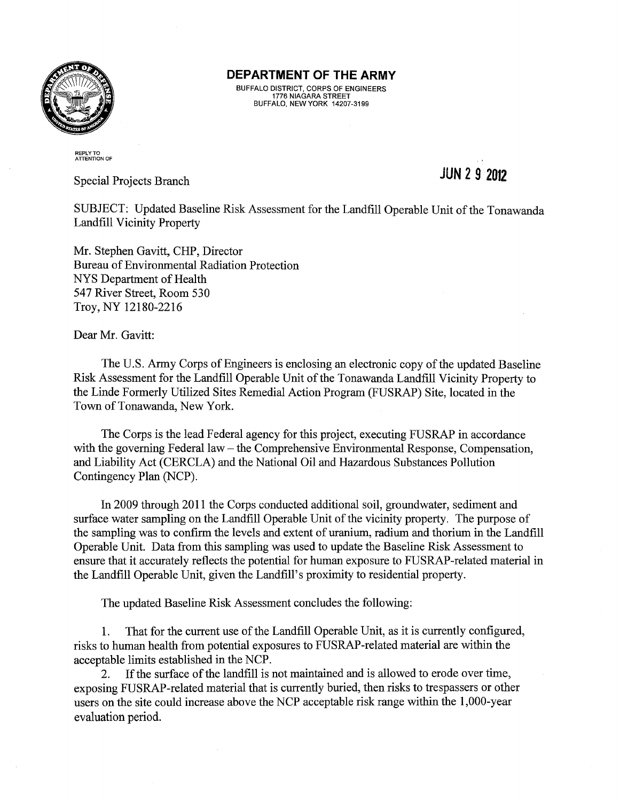

BUFFALO DISTRICT, CORPS OF ENGINEERS 1776 NIAGARA STREET BUFFALO, NEW YORK 14207-3199

#### REPLY TO ATTENTION OF

Special Projects Branch

## **JUN 2 9 2012**

SUBJECT: Updated Baseline Risk Assessment for the Landfill Operable Unit of the Tonawanda Landfill Vicinity Property

Mr. Stephen Gavitt, CHP, Director Bureau of Environmental Radiation Protection NYS Department of Health 547 River Street, Room 530 Troy, NY 12180-2216

Dear Mr. Gavitt:

The U.S. Army Corps of Engineers is enclosing an electronic copy of the updated Baseline Risk Assessment for the Landfill Operable Unit of the Tonawanda Landfill Vicinity Property to the Linde Formerly Utilized Sites Remedial Action Program (FUSRAP) Site, located in the Town of Tonawanda, New York.

The Corps is the lead Federal agency for this project, executing FUSRAP in accordance with the governing Federal law – the Comprehensive Environmental Response, Compensation, and Liability Act (CERCLA) and the National Oil and Hazardous Substances Pollution Contingency Plan (NCP).

In 2009 through 2011 the Corps conducted additional soil, groundwater, sediment and surface water sampling on the Landfill Operable Unit of the vicinity property. The purpose of the sampling was to confirm the levels and extent of uranium, radium and thorium in the Landfill Operable Unit. Data from this sampling was used to update the Baseline Risk Assessment to ensure that it accurately reflects the potential for human exposure to FUSRAP-related material in the Landfill Operable Unit, given the Landfill's proximity to residential property.

The updated Baseline Risk Assessment concludes the following:

1. That for the current use of the Landfill Operable Unit, as it is currently configured, risks to human health from potential exposures to FUSRAP-related material are within the acceptable limits established in the NCP.

2. If the surface of the landfill is not maintained and is allowed to erode over time, exposing FUSRAP-related material that is currently buried, then risks to trespassers or other users on the site could increase above the NCP acceptable risk range within the 1 ,000-year evaluation period.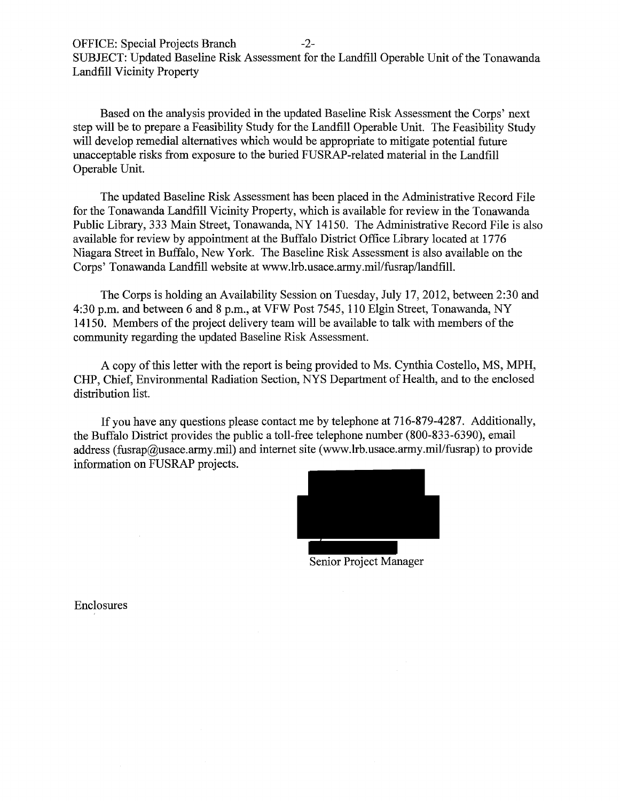Based on the analysis provided in the updated Baseline Risk Assessment the Corps' next step will be to prepare a Feasibility Study for the Landfill Operable Unit. The Feasibility Study will develop remedial alternatives which would be appropriate to mitigate potential future unacceptable risks from exposure to the buried FUSRAP-related material in the Landfill Operable Unit.

The updated Baseline Risk Assessment has been placed in the Administrative Record File for the Tonawanda Landfill Vicinity Property, which is available for review in the Tonawanda Public Library, 333 Main Street, Tonawanda, NY 14150. The Administrative Record File is also available for review by appointment at the Buffalo District Office Library located at 1776 Niagara Street in Buffalo, New York. The Baseline Risk Assessment is also available on the Corps' Tonawanda Landfill website at www.lrb.usace.army.mil/fusrap/landfill.

The Corps is holding an Availability Session on Tuesday, July 17, 2012, between 2:30 and 4:30 p.m. and between 6 and 8 p.m., at VFW Post 7545, 110 Elgin Street, Tonawanda, NY 14150. Members of the project delivery team will be available to talk with members of the community regarding the updated Baseline Risk Assessment.

A copy of this letter with the report is being provided to Ms. Cynthia Costello, MS, MPH, CHP, Chief, Environmental Radiation Section, NYS Department of Health, and to the enclosed distribution list.

If you have any questions please contact me by telephone at 716-879-4287. Additionally, the Buffalo District provides the public a toll-free telephone number (800-833-6390), email address (fusrap@usace.army.mil) and internet site (www.lrb.usace.army.mil/fusrap) to provide information on FUSRAP projects.



Senior Project Manager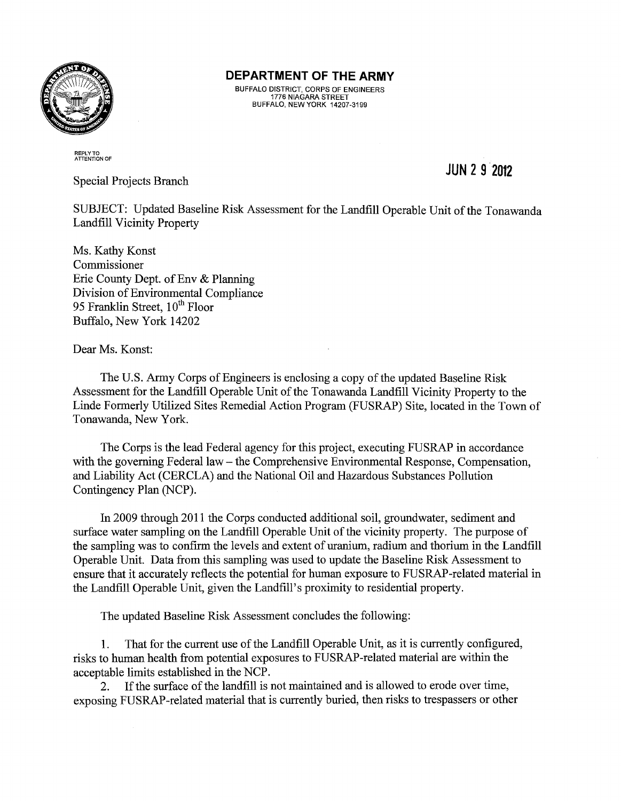

BUFFALO DISTRICT, CORPS OF ENGINEERS 1776 NIAGARA STREET BUFFALO, NEW YORK 14207-3199

### REPLY TO ATTENTION OF

Special Projects Branch

**JUN 2 9 2012** 

SUBJECT: Updated Baseline Risk Assessment for the Landfill Operable Unit of the Tonawanda Landfill Vicinity Property

Ms. Kathy Konst Commissioner Erie County Dept. of Env & Planning Division of Environmental Compliance 95 Franklin Street,  $10^{th}$  Floor Buffalo, New York 14202

Dear Ms. Konst:

The U.S. Army Corps of Engineers is enclosing a copy of the updated Baseline Risk Assessment for the Landfill Operable Unit of the Tonawanda Landfill Vicinity Property to the Linde Formerly Utilized Sites Remedial Action Program (FUSRAP) Site, located in the Town of Tonawanda, New York.

The Corps is the lead Federal agency for this project, executing FUSRAP in accordance with the governing Federal law – the Comprehensive Environmental Response, Compensation, and Liability Act (CERCLA) and the National Oil and Hazardous Substances Pollution Contingency Plan (NCP).

In 2009 through 2011 the Corps conducted additional soil, groundwater, sediment and surface water sampling on the Landfill Operable Unit of the vicinity property. The purpose of the sampling was to confirm the levels and extent of uranium, radium and thorium in the Landfill Operable Unit. Data from this sampling was used to update the Baseline Risk Assessment to ensure that it accurately reflects the potential for human exposure to FUSRAP-related material in the Landfill Operable Unit, given the Landfill's proximity to residential property.

The updated Baseline Risk Assessment concludes the following:

1. That for the current use of the Landfill Operable Unit, as it is currently configured, risks to human health from potential exposures to FUSRAP-related material are within the acceptable limits established in the NCP.

2. If the surface of the landfill is not maintained and is allowed to erode over time, exposing FUSRAP-related material that is currently buried, then risks to trespassers or other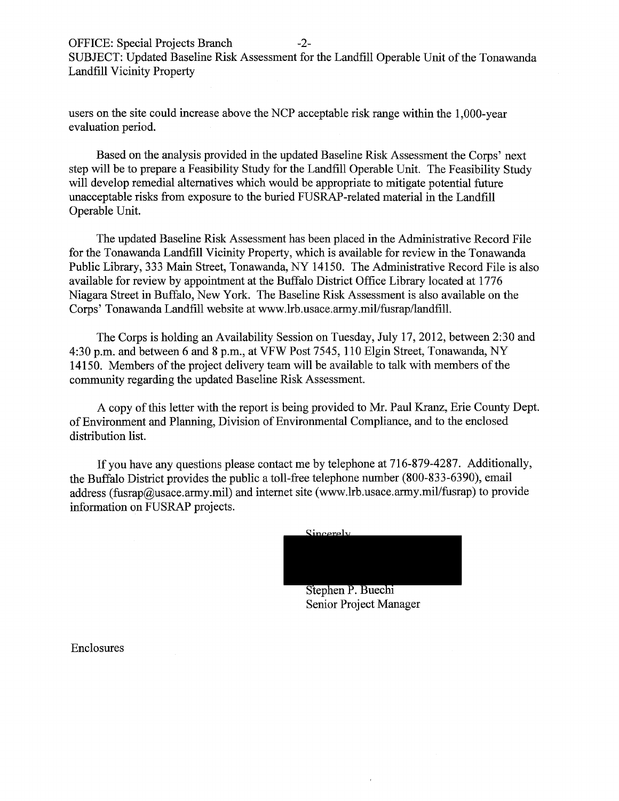users on the site could increase above the NCP acceptable risk range within the 1 ,000-year evaluation period.

Based on the analysis provided in the updated Baseline Risk Assessment the Corps' next step will be to prepare a Feasibility Study for the Landfill Operable Unit. The Feasibility Study will develop remedial alternatives which would be appropriate to mitigate potential future unacceptable risks from exposure to the buried FUSRAP-related material in the Landfill Operable Unit.

The updated Baseline Risk Assessment has been placed in the Administrative Record File for the Tonawanda Landfill Vicinity Property, which is available for review in the Tonawanda Public Library, 333 Main Street, Tonawanda, NY 14150. The Administrative Record File is also available for review by appointment at the Buffalo District Office Library located at 1776 Niagara Street in Buffalo, New York. The Baseline Risk Assessment is also available on the Corps' Tonawanda Landfill website at www.lrb.usace.army.mil/fusrap/landfill.

The Corps is holding an Availability Session on Tuesday, July 17, 2012, between 2:30 and 4:30p.m. and between 6 and 8 p.m., at VFW Post 7545, 110 Elgin Street, Tonawanda, NY 14150. Members of the project delivery team will be available to talk with members of the community regarding the updated Baseline Risk Assessment.

A copy of this letter with the report is being provided to Mr. Paul Kranz, Erie County Dept. of Environment and Planning, Division of Environmental Compliance, and to the enclosed distribution list.

If you have any questions please contact me by telephone at 716-879-4287. Additionally, the Buffalo District provides the public a toll-free telephone number (800-833-6390), email address (fusrap@usace.army.mil) and internet site (www.lrb.usace.army.mil/fusrap) to provide information on FUSRAP projects.

<u>Sincerely</u>

| Stephen P. Buechi |  |
|-------------------|--|

Senior Project Manager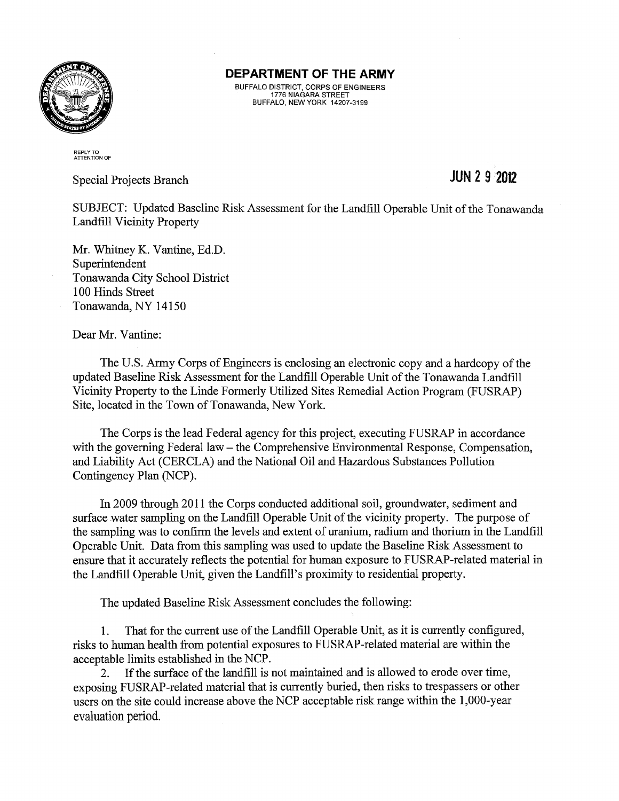

BUFFALO DISTRICT, CORPS OF ENGINEERS 1776 NIAGARA STREET BUFFALO, NEW YORK 14207-3199

#### REPLY TO ATTENTION OF

Special Projects Branch

## **JUN 2 9 2012**

SUBJECT: Updated Baseline Risk Assessment for the Landfill Operable Unit of the Tonawanda Landfill Vicinity Property

Mr. Whitney K. Vantine, Ed.D. Superintendent Tonawanda City School District 100 Hinds Street Tonawanda, NY 14150

Dear Mr. Vantine:

The U.S. Army Corps of Engineers is enclosing an electronic copy and a hardcopy of the updated Baseline Risk Assessment for the Landfill Operable Unit of the Tonawanda Landfill Vicinity Property to the Linde Formerly Utilized Sites Remedial Action Program (FUSRAP) Site, located in the Town of Tonawanda, New York.

The Corps is the lead Federal agency for this project, executing FUSRAP in accordance with the governing Federal law – the Comprehensive Environmental Response, Compensation, and Liability Act (CERCLA) and the National Oil and Hazardous Substances Pollution Contingency Plan (NCP).

In 2009 through 2011 the Corps conducted additional soil, groundwater, sediment and surface water sampling on the Landfill Operable Unit of the vicinity property. The purpose of the sampling was to confirm the levels and extent of uranium, radium and thorium in the Landfill Operable Unit. Data from this sampling was used to update the Baseline Risk Assessment to ensure that it accurately reflects the potential for human exposure to FUSRAP-related material in the Landfill Operable Unit, given the Landfill's proximity to residential property.

The updated Baseline Risk Assessment concludes the following:

1. That for the current use of the Landfill Operable Unit, as it is currently configured, risks to human health from potential exposures to FUSRAP-related material are within the acceptable limits established in the NCP.

2. If the surface of the landfill is not maintained and is allowed to erode over time, exposing FUSRAP-related material that is currently buried, then risks to trespassers or other users on the site could increase above the NCP acceptable risk range within the 1,000-year evaluation period.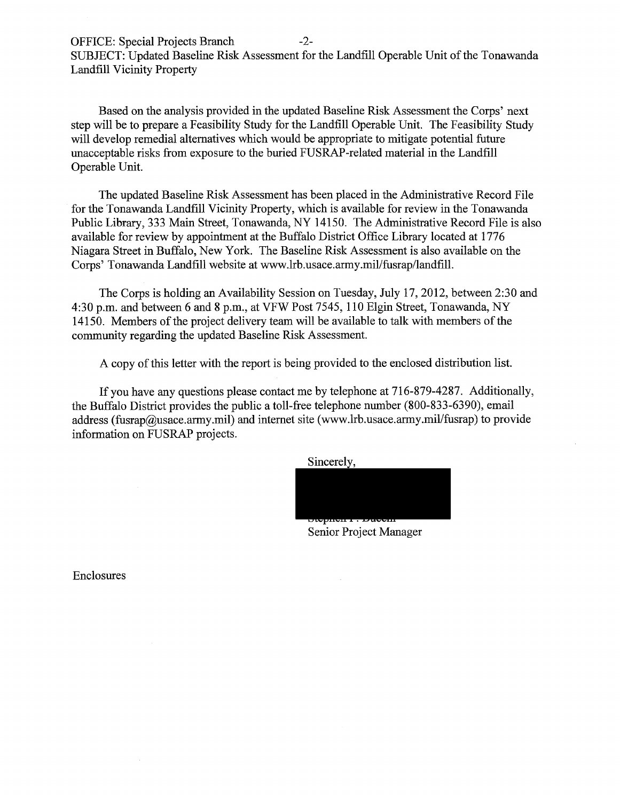Based on the analysis provided in the updated Baseline Risk Assessment the Corps' next step will be to prepare a Feasibility Study for the Landfill Operable Unit. The Feasibility Study will develop remedial alternatives which would be appropriate to mitigate potential future unacceptable risks from exposure to the buried FUSRAP-related material in the Landfill Operable Unit.

The updated Baseline Risk Assessment has been placed in the Administrative Record File for the Tonawanda Landfill Vicinity Property, which is available for review in the Tonawanda Public Library, 333 Main Street, Tonawanda, NY 14150. The Administrative Record File is also available for review by appointment at the Buffalo District Office Library located at 1776 Niagara Street in Buffalo, New York. The Baseline Risk Assessment is also available on the Corps' Tonawanda Landfill website at www.lrb.usace.army.mil/fusrap/landfill.

The Corps is holding an Availability Session on Tuesday, July 17, 2012, between 2:30 and 4:30 p.m. and between 6 and 8 p.m., at VFW Post 7545, 110 Elgin Street, Tonawanda, NY 14150. Members of the project delivery team will be available to talk with members of the community regarding the updated Baseline Risk Assessment.

A copy of this letter with the report is being provided to the enclosed distribution list.

If you have any questions please contact me by telephone at 716-879-4287. Additionally, the Buffalo District provides the public a toll-free telephone number (800-833-6390), email address (fusrap@usace.army.mil) and internet site (www.lrb.usace.army.mil/fusrap) to provide information on FUSRAP projects.

Sincerely,



Senior Project Manager